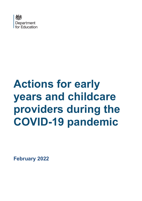

# **Actions for early years and childcare providers during the COVID-19 pandemic**

**February 2022**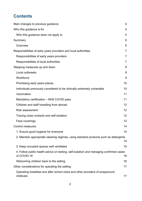# **Contents**

| Main changes to previous guidance                                                                     | 4              |
|-------------------------------------------------------------------------------------------------------|----------------|
| Who this guidance is for                                                                              | 5              |
| Who this guidance does not apply to                                                                   | 5              |
| Summary                                                                                               | 6              |
| Overview                                                                                              | 6              |
| Responsibilities of early years providers and local authorities                                       | $\overline{7}$ |
| Responsibilities of early years providers                                                             | $\overline{7}$ |
| Responsibilities of local authorities                                                                 | $\overline{7}$ |
| Stepping measures up and down                                                                         | 9              |
| Local outbreaks                                                                                       | 9              |
| Workforce                                                                                             | 9              |
| Prioritising early years places                                                                       | 10             |
| Individuals previously considered to be clinically extremely vulnerable                               | 10             |
| Vaccination                                                                                           | 11             |
| Mandatory certification - NHS COVID pass                                                              | 11             |
| Children and staff travelling from abroad                                                             | 12             |
| <b>Risk assessment</b>                                                                                | 12             |
| Tracing close contacts and self-isolation                                                             | 12             |
| Face coverings                                                                                        | 12             |
| <b>Control measures</b>                                                                               | 14             |
| 1. Ensure good hygiene for everyone                                                                   | 14             |
| 2. Maintain appropriate cleaning regimes, using standard products such as detergents                  | 14             |
| 3. Keep occupied spaces well ventilated                                                               | 15             |
| 4. Follow public health advice on testing, self-isolation and managing confirmed cases<br>of COVID-19 | 16             |
| Welcoming children back to the setting                                                                | 16             |
| Other considerations for operating the setting                                                        | 17             |
| Operating breakfast and after school clubs and other providers of wraparound<br>childcare             | 17             |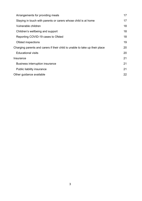| Arrangements for providing meals                                            | 17 |
|-----------------------------------------------------------------------------|----|
| Staying in touch with parents or carers whose child is at home              | 17 |
| Vulnerable children                                                         | 18 |
| Children's wellbeing and support                                            | 18 |
| Reporting COVID-19 cases to Ofsted                                          | 18 |
| Ofsted inspections                                                          | 19 |
| Charging parents and carers if their child is unable to take up their place |    |
| <b>Educational visits</b>                                                   | 20 |
| Insurance                                                                   |    |
| <b>Business interruption insurance</b>                                      | 21 |
| Public liability insurance                                                  | 21 |
| Other guidance available                                                    |    |
|                                                                             |    |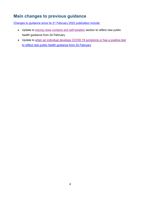# <span id="page-3-0"></span>**Main changes to previous guidance**

Changes to guidance since its 21 February 2022 publication include:

- Update to [tracing close contacts and self-isolation](#page-11-2) section to reflect new public health guidance from 24 February
- Update to [when an individual develops COVID-19 symptoms or has a positive test](#page-15-2) to reflect new public health guidance from 24 February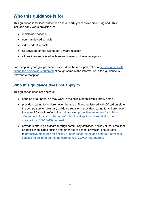# <span id="page-4-0"></span>**Who this guidance is for**

This guidance is for local authorities and all early years providers in England. This includes early years provision in:

- maintained schools
- non-maintained schools
- independent schools
- all providers on the Ofsted early years register
- all providers registered with an early years childminder agency

For reception year groups, schools should, in the most part, refer to actions for [schools](https://www.gov.uk/government/publications/actions-for-schools-during-the-coronavirus-outbreak) during the [coronavirus](https://www.gov.uk/government/publications/actions-for-schools-during-the-coronavirus-outbreak) outbreak although some of the information in this guidance is relevant to reception.

## <span id="page-4-1"></span>**Who this guidance does not apply to**

This guidance does not apply to:

- nannies or au pairs, as they work in the child's or children's family home
- providers caring for children over the age of 5 and registered with Ofsted on either the compulsory or voluntary childcare register – providers caring for children over the age of 5 should refer to the guidance on protective [measures](https://www.gov.uk/government/publications/protective-measures-for-holiday-or-after-school-clubs-and-other-out-of-school-settings-for-children-during-the-coronavirus-covid-19-outbreak) for holiday or after-school clubs and other [out-of-school](https://www.gov.uk/government/publications/protective-measures-for-holiday-or-after-school-clubs-and-other-out-of-school-settings-for-children-during-the-coronavirus-covid-19-outbreak) settings for children during the coronavirus [\(COVID-19\)](https://www.gov.uk/government/publications/protective-measures-for-holiday-or-after-school-clubs-and-other-out-of-school-settings-for-children-during-the-coronavirus-covid-19-outbreak) outbreak
- providers offering childcare through community activities, holiday clubs, breakfast or after-school clubs, tuition and other out-of-school provision, should refer to protective measures for holiday or after-school clubs and other [out-of-school](https://www.gov.uk/government/publications/protective-measures-for-holiday-or-after-school-clubs-and-other-out-of-school-settings-for-children-during-the-coronavirus-covid-19-outbreak) settings for children during the coronavirus [\(COVID-19\)](https://www.gov.uk/government/publications/protective-measures-for-holiday-or-after-school-clubs-and-other-out-of-school-settings-for-children-during-the-coronavirus-covid-19-outbreak) outbreak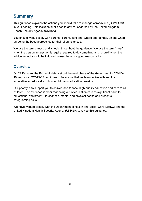# <span id="page-5-0"></span>**Summary**

This guidance explains the actions you should take to manage coronavirus (COVID-19) in your setting. This includes public health advice, endorsed by the United Kingdom Health Security Agency (UKHSA).

You should work closely with parents, carers, staff and, where appropriate, unions when agreeing the best approaches for their circumstances.

We use the terms 'must' and 'should' throughout the guidance. We use the term 'must' when the person in question is legally required to do something and 'should' when the advice set out should be followed unless there is a good reason not to.

## <span id="page-5-1"></span>**Overview**

On 21 February the Prime Minister set out the next phase of the Government's COVID-19 response. COVID-19 continues to be a virus that we learn to live with and the imperative to reduce disruption to children's education remains.

Our priority is to support you to deliver face-to-face, high-quality education and care to all children. The evidence is clear that being out of education causes significant harm to educational attainment, life chances, mental and physical health and presents safeguarding risks.

We have worked closely with the Department of Health and Social Care (DHSC) and the United Kingdom Health Security Agency (UKHSA) to revise this guidance.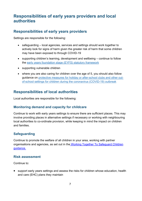# <span id="page-6-0"></span>**Responsibilities of early years providers and local authorities**

#### <span id="page-6-1"></span>**Responsibilities of early years providers**

Settings are responsible for the following:

- safeguarding local agencies, services and settings should work together to actively look for signs of harm given the greater risk of harm that some children may have been exposed to through COVID-19
- supporting children's learning, development and wellbeing continue to follow the early years [foundation](https://www.gov.uk/government/publications/early-years-foundation-stage-framework--2) stage (EYFS) statutory framework
- supporting vulnerable children
- where you are also caring for children over the age of 5, you should also follow guidance on protective measures for holiday or [after-school](https://www.gov.uk/government/publications/protective-measures-for-holiday-or-after-school-clubs-and-other-out-of-school-settings-for-children-during-the-coronavirus-covid-19-outbreak) clubs and other outof-school settings for children during the coronavirus [\(COVID-19\)](https://www.gov.uk/government/publications/protective-measures-for-holiday-or-after-school-clubs-and-other-out-of-school-settings-for-children-during-the-coronavirus-covid-19-outbreak) outbreak

## <span id="page-6-2"></span>**Responsibilities of local authorities**

Local authorities are responsible for the following:

#### **Monitoring demand and capacity for childcare**

Continue to work with early years settings to ensure there are sufficient places. This may involve providing places in alternative settings if necessary or working with neighbouring local authorities to co-ordinate provision, while keeping in mind the impact on children and families.

#### **Safeguarding**

Continue to promote the welfare of all children in your area, working with partner organisations and agencies, as set out in the [Working Together To Safeguard Children](https://www.gov.uk/government/publications/working-together-to-safeguard-children--2) [guidance.](https://www.gov.uk/government/publications/working-together-to-safeguard-children--2)

#### **Risk assessment**

Continue to:

• support early years settings and assess the risks for children whose education, health and care (EHC) plans they maintain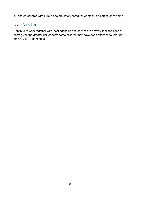• ensure children with EHC plans are safely cared for whether in a setting or at home

#### **Identifying harm**

Continue to work together with local agencies and services to actively look for signs of harm given the greater risk of harm some children may have been exposed to through the COVID-19 pandemic.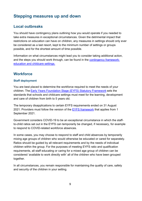# <span id="page-8-0"></span>**Stepping measures up and down**

## <span id="page-8-1"></span>**Local outbreaks**

You should have contingency plans outlining how you would operate if you needed to take extra measures in exceptional circumstances. Given the detrimental impact that restrictions on education can have on children, any measures in settings should only ever be considered as a last resort, kept to the minimum number of settings or groups possible, and for the shortest amount of time possible.

Information on what circumstances might lead you to consider taking additional action, and the steps you should work through, can be found in the contingency framework: [education and childcare settings.](https://www.gov.uk/government/publications/coronavirus-covid-19-local-restrictions-in-education-and-childcare-settings/contingency-framework-education-and-childcare-settings) 

#### <span id="page-8-2"></span>**Workforce**

#### **Staff deployment**

You are best placed to determine the workforce required to meet the needs of your children. The Early Years Foundation Stage [\(EYFS\) Statutory Framework](https://www.gov.uk/government/publications/early-years-foundation-stage-framework--2) sets the standards that schools and childcare settings must meet for the learning, development and care of children from birth to 5 years old.

The temporary disapplications to certain EYFS requirements ended on 31 August 2021. Providers must follow the version of the [EYFS framework](https://www.gov.uk/government/publications/early-years-foundation-stage-framework--2) that applies from 1 September 2021.

Government considers COVID-19 to be an exceptional circumstance in which the staffto-child ratios set out in the EYFS can temporarily be changed, if necessary, for example to respond to COVID-related workforce absences.

In some cases, you may choose to respond to staff and child absences by temporarily mixing age groups of children who would otherwise be educated or cared for separately. Ratios should be guided by all relevant requirements and by the needs of individual children within the group. For the purposes of meeting EYFS ratio and qualification requirements, all staff educating or caring for a mixed age group of children can be considered 'available to work directly with' all of the children who have been grouped together.

In all circumstances, you remain responsible for maintaining the quality of care, safety and security of the children in your setting.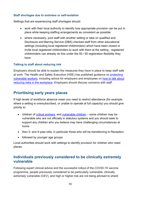#### **Staff shortages due to sickness or self-isolation**

Settings that are experiencing staff shortages should: 

- work with their local authority to identify how appropriate provision can be put in place while keeping staffing arrangements as consistent as possible
- where necessary, pool staff with another setting or take on qualified and Disclosure and Barring Service (DBS) checked staff from other educational settings (including local registered childminders) which have been closed or invite local registered childminders to work with them at the setting - registered childminders can already do this under the 50 / 50 registration flexibility they have

#### **Talking to staff about reducing risk**

Employers should be able to explain the measures they have in place to keep staff safe at work. The Health and Safety Executive (HSE) has published guidance on [protecting](https://www.hse.gov.uk/coronavirus/working-safely/protect-people.htm)  [vulnerable workers,](https://www.hse.gov.uk/coronavirus/working-safely/protect-people.htm) including advice for employers and employees on [how to talk about](https://www.hse.gov.uk/coronavirus/working-safely/talking-to-your-workers/index.htm)  [reducing risks in the workplace.](https://www.hse.gov.uk/coronavirus/working-safely/talking-to-your-workers/index.htm) Employers should discuss concerns with staff.

## <span id="page-9-0"></span>**Prioritising early years places**

If high levels of workforce absence mean you need to restrict attendance (for example, where a setting is oversubscribed, or unable to operate at full capacity) you should give priority to:

- children of [critical workers,](https://www.gov.uk/government/publications/coronavirus-covid-19-maintaining-educational-provision/guidance-for-schools-colleges-and-local-authorities-on-maintaining-educational-provision#critical-workers) and [vulnerable children](https://www.gov.uk/government/publications/coronavirus-covid-19-maintaining-educational-provision/guidance-for-schools-colleges-and-local-authorities-on-maintaining-educational-provision#vulnerable-children-and-young-people) some children may be vulnerable who are not officially in statutory systems and you should seek to support any children who you believe may have challenging circumstances at home
- then 3- and 4-year-olds, in particular those who will be transitioning to Reception
- followed by younger age groups

Local authorities should work with settings to identify provision for children who need places.

#### <span id="page-9-1"></span>**Individuals previously considered to be clinically extremely vulnerable**

Following expert clinical advice and the successful rollout of the COVID-19 vaccine programme, people previously considered to be particularly vulnerable, clinically extremely vulnerable (CEV), and high or higher-risk are not being advised to shield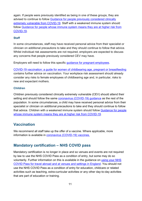again. If people were previously identified as being in one of these groups, they are advised to continue to follow [Guidance for people previously](https://www.gov.uk/government/publications/guidance-on-shielding-and-protecting-extremely-vulnerable-persons-from-covid-19/guidance-on-shielding-and-protecting-extremely-vulnerable-persons-from-covid-19) considered clinically [extremely vulnerable](https://www.gov.uk/government/publications/guidance-on-shielding-and-protecting-extremely-vulnerable-persons-from-covid-19/guidance-on-shielding-and-protecting-extremely-vulnerable-persons-from-covid-19) from COVID-19. Staff with a weakened immune system should follow [Guidance for people whose immune system means they are at higher risk from](https://www.gov.uk/government/publications/covid-19-guidance-for-people-whose-immune-system-means-they-are-at-higher-risk/covid-19-guidance-for-people-whose-immune-system-means-they-are-at-higher-risk)  [COVID-19.](https://www.gov.uk/government/publications/covid-19-guidance-for-people-whose-immune-system-means-they-are-at-higher-risk/covid-19-guidance-for-people-whose-immune-system-means-they-are-at-higher-risk)

#### **Staff**

In some circumstances, staff may have received personal advice from their specialist or clinician on additional precautions to take and they should continue to follow that advice. Whilst individual risk assessments are not required, employers are expected to discuss any concerns that people previously considered CEV may have.

Employers will need to follow this specific [guidance for pregnant employees.](https://www.gov.uk/government/publications/coronavirus-covid-19-advice-for-pregnant-employees/coronavirus-covid-19-advice-for-pregnant-employees)

[COVID-19 vaccination: a guide for women of childbearing age, pregnant or breastfeeding](https://www.gov.uk/government/publications/covid-19-vaccination-women-of-childbearing-age-currently-pregnant-planning-a-pregnancy-or-breastfeeding) contains further advice on vaccination. Your workplace risk assessment should already consider any risks to female employees of childbearing age and, in particular, risks to new and expectant mothers.

#### **Children**

Children previously considered clinically extremely vulnerable (CEV) should attend their setting and should follow the same [coronavirus \(COVID](https://www.gov.uk/coronavirus)-19) guidance as the rest of the population. In some circumstances, a child may have received personal advice from their specialist or clinician on additional precautions to take and they should continue to follow that advice. Children with a weakened immune system should follow [Guidance for people](https://www.gov.uk/government/publications/covid-19-guidance-for-people-whose-immune-system-means-they-are-at-higher-risk/covid-19-guidance-for-people-whose-immune-system-means-they-are-at-higher-risk)  [whose immune system means they are at higher risk from COVID-19.](https://www.gov.uk/government/publications/covid-19-guidance-for-people-whose-immune-system-means-they-are-at-higher-risk/covid-19-guidance-for-people-whose-immune-system-means-they-are-at-higher-risk)

## <span id="page-10-0"></span>**Vaccination**

We recommend all staff take up the offer of a vaccine. Where applicable, more information is available in [coronavirus \(COVID-19\) vaccines.](https://www.nhs.uk/conditions/coronavirus-covid-19/coronavirus-vaccination/coronavirus-vaccine/) 

## <span id="page-10-1"></span>**Mandatory certification – NHS COVID pass**

Mandatory certification is no longer in place and so venues and events are not required by law to use the NHS COVID Pass as a condition of entry, but some may do so voluntarily. Further information on this is available in the guidance on using [your NHS](https://www.gov.uk/guidance/nhs-covid-pass)  [COVID Pass for travel abroad and at venues and settings in England.](https://www.gov.uk/guidance/nhs-covid-pass) You should not use the NHS COVID Pass as a condition of entry for education, childcare or related activities such as teaching, extra-curricular activities or any other day-to-day activities that are part of education or training.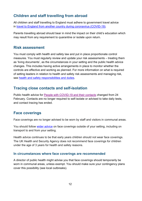## <span id="page-11-0"></span>**Children and staff travelling from abroad**

All children and staff travelling to England must adhere to government travel advice in [travel to England from another country during coronavirus \(COVID-19\).](https://www.gov.uk/guidance/travel-to-england-from-another-country-during-coronavirus-covid-19)

Parents travelling abroad should bear in mind the impact on their child's education which may result from any requirement to quarantine or isolate upon return.

#### <span id="page-11-1"></span>**Risk assessment**

You must comply with health and safety law and put in place proportionate control measures. You must regularly review and update your risk assessments – treating them as 'living documents', as the circumstances in your setting and the public health advice changes. This includes having active arrangements in place to monitor whether the controls are effective and working as planned. For more information on what is required of setting leaders in relation to health and safety risk assessments and managing risk, see [health and safety responsibilities and duties.](https://www.gov.uk/government/publications/health-and-safety-advice-for-schools/responsibilities-and-duties-for-schools)

## <span id="page-11-2"></span>**Tracing close contacts and self-isolation**

Public health advice for [People with COVID-19 and their contacts](https://www.gov.uk/government/publications/covid-19-people-with-covid-19-and-their-contacts) changed from 24 February. Contacts are no longer required to self-isolate or advised to take daily tests, and contact tracing has ended.

## <span id="page-11-3"></span>**Face coverings**

Face coverings are no longer advised to be worn by staff and visitors in communal areas.

You should follow [wider advice](https://www.gov.uk/government/publications/face-coverings-when-to-wear-one-and-how-to-make-your-own/face-coverings-when-to-wear-one-and-how-to-make-your-own) on face coverings outside of your setting, including on transport to and from your setting.

Health advice continues to be that early years children should not wear face coverings. The UK Health and Security Agency does not recommend face coverings for children under the age of 3 years for health and safety reasons.

#### **In circumstances where face coverings are recommended**

A director of public health might advise you that face coverings should temporarily be worn in communal areas, unless exempt. You should make sure your contingency plans cover this possibility (see local outbreaks).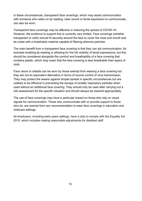In these circumstances, transparent face coverings, which may assist communication with someone who relies on lip reading, clear sound or facial expression to communicate, can also be worn.

Transparent face coverings may be effective in reducing the spread of COVID-19. However, the evidence to support this is currently very limited. Face coverings (whether transparent or cloth) should fit securely around the face to cover the nose and mouth and be made with a breathable material capable of filtering airborne particles.

The main benefit from a transparent face covering is that they can aid communication, for example enabling lip-reading or allowing for the full visibility of facial expressions, but this should be considered alongside the comfort and breathability of a face covering that contains plastic, which may mean that the face covering is less breathable than layers of cloth.

Face visors or shields can be worn by those exempt from wearing a face covering but they are not an equivalent alternative in terms of source control of virus transmission. They may protect the wearer against droplet spread in specific circumstances but are unlikely to be effective in preventing the escape of smaller respiratory particles when used without an additional face covering. They should only be used after carrying out a risk assessment for the specific situation and should always be cleaned appropriately.

The use of face coverings may have a particular impact on those who rely on visual signals for communication. Those who communicate with or provide support to those who do, are exempt from any recommendation to wear face coverings in education and childcare settings.

All employers, including early years settings, have a duty to comply with the Equality Act 2010, which includes making reasonable adjustments for disabled staff.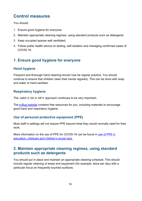# <span id="page-13-0"></span>**Control measures**

You should:

- 1. Ensure good hygiene for everyone.
- 2. Maintain appropriate cleaning regimes, using standard products such as detergents.
- 3. Keep occupied spaces well ventilated.
- 4. Follow public health advice on testing, self-isolation and managing confirmed cases of COVID-19.

## <span id="page-13-1"></span>**1. Ensure good hygiene for everyone**

#### **Hand hygiene**

Frequent and thorough hand cleaning should now be regular practice. You should continue to ensure that children clean their hands regularly. This can be done with soap and water or hand sanitiser.

#### **Respiratory hygiene**

The 'catch it, bin it, kill it' approach continues to be very important.

The [e-Bug website](https://e-bug.eu/eng_home.aspx?cc=eng&ss=1&t=Information%20about%20the%20Coronavirus) contains free resources for you, including materials to encourage good hand and respiratory hygiene.

## **Use of personal protective equipment (PPE)**

Most staff in settings will not require PPE beyond what they would normally need for their work.

More information on the use of PPE for COVID-19 can be found in [use of](https://www.gov.uk/government/publications/safe-working-in-education-childcare-and-childrens-social-care) PPE in [education, childcare and children's social care.](https://www.gov.uk/government/publications/safe-working-in-education-childcare-and-childrens-social-care)

## <span id="page-13-2"></span>**2. Maintain appropriate cleaning regimes, using standard products such as detergents**

You should put in place and maintain an appropriate cleaning schedule. This should include regular cleaning of areas and equipment (for example, twice per day) with a particular focus on frequently touched surfaces.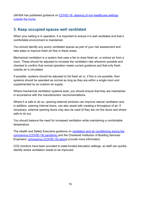UKHSA has published guidance on [COVID-19: cleaning of non-healthcare settings](https://www.gov.uk/government/publications/covid-19-decontamination-in-non-healthcare-settings)  [outside the home.](https://www.gov.uk/government/publications/covid-19-decontamination-in-non-healthcare-settings)

## <span id="page-14-0"></span>**3. Keep occupied spaces well ventilated**

When your setting is in operation, it is important to ensure it is well ventilated and that a comfortable environment is maintained.

You should identify any poorly ventilated spaces as part of your risk assessment and take steps to improve fresh air flow in these areas.

Mechanical ventilation is a system that uses a fan to draw fresh air, or extract air from a room. These should be adjusted to increase the ventilation rate wherever possible and checked to confirm that normal operation meets current guidance and that only fresh outside air is circulated.

If possible, systems should be adjusted to full fresh air or, if this is not possible, then systems should be operated as normal as long as they are within a single room and supplemented by an outdoor air supply.

Where mechanical ventilation systems exist, you should ensure that they are maintained in accordance with the manufacturers' recommendations.

Where it is safe to do so, opening external windows can improve natural ventilation and, in addition, opening internal doors, can also assist with creating a throughput of air. If necessary, external opening doors may also be used (if they are not fire doors and where safe to do so).

You should balance the need for increased ventilation while maintaining a comfortable temperature.

The Health and Safety Executive guidance on [ventilation and air conditioning during the](https://www.hse.gov.uk/coronavirus/equipment-and-machinery/air-conditioning-and-ventilation.htm)  [coronavirus \(COVID-19\) pandemic](https://www.hse.gov.uk/coronavirus/equipment-and-machinery/air-conditioning-and-ventilation.htm) and the Chartered Institution of Building Services Engineers' [coronavirus \(COVID-19\) advice](https://www.cibse.org/coronavirus-covid-19) provide more information.

CO2 monitors have been provided to state-funded education settings, so staff can quickly identify where ventilation needs to be improved.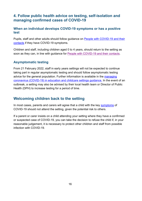## <span id="page-15-0"></span>**4. Follow public health advice on testing, self-isolation and managing confirmed cases of COVID-19**

#### <span id="page-15-2"></span>**When an individual develops COVID-19 symptoms or has a positive test**

Pupils, staff and other adults should follow guidance on [People with COVID-19 and their](https://www.gov.uk/government/publications/covid-19-people-with-covid-19-and-their-contacts)  [contacts](https://www.gov.uk/government/publications/covid-19-people-with-covid-19-and-their-contacts) if they have COVID-19 symptoms.

Children and staff, including children aged 0 to 4 years, should return to the setting as soon as they can, in line with guidance for [People with COVID-19 and their contacts.](https://www.gov.uk/government/publications/covid-19-people-with-covid-19-and-their-contacts)

#### **Asymptomatic testing**

From 21 February 2022, staff in early years settings will not be expected to continue taking part in regular asymptomatic testing and should follow asymptomatic testing advice for the general population. Further information is available in the [managing](https://www.gov.uk/government/publications/guidance-for-full-opening-special-schools-and-other-specialist-settings/rapid-asymptomatic-testing-in-specialist-settings)  [coronavirus \(COVID-19\) in education and childcare settings guidance.](https://www.gov.uk/government/publications/guidance-for-full-opening-special-schools-and-other-specialist-settings/rapid-asymptomatic-testing-in-specialist-settings) In the event of an outbreak, a setting may also be advised by their local health team or Director of Public Health (DPH) to increase testing for a period of time.

## <span id="page-15-1"></span>**Welcoming children back to the setting**

In most cases, parents and carers will agree that a child with the key [symptoms](https://www.nhs.uk/conditions/coronavirus-covid-19/symptoms/coronavirus-in-children/) of COVID-19 should not attend the setting, given the potential risk to others.

If a parent or carer insists on a child attending your setting where they have a confirmed or suspected case of COVID-19, you can take the decision to refuse the child if, in your reasonable judgement, it is necessary to protect other children and staff from possible infection with COVID-19.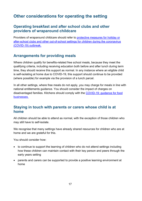# <span id="page-16-0"></span>**Other considerations for operating the setting**

## <span id="page-16-1"></span>**Operating breakfast and after school clubs and other providers of wraparound childcare**

Providers of wraparound childcare should refer to [protective measures for holiday or](https://www.gov.uk/government/publications/protective-measures-for-holiday-or-after-school-clubs-and-other-out-of-school-settings-for-children-during-the-coronavirus-covid-19-outbreak)  [after-school clubs and other out-of-school settings for children during the coronavirus](https://www.gov.uk/government/publications/protective-measures-for-holiday-or-after-school-clubs-and-other-out-of-school-settings-for-children-during-the-coronavirus-covid-19-outbreak)  [\(COVID-19\) outbreak.](https://www.gov.uk/government/publications/protective-measures-for-holiday-or-after-school-clubs-and-other-out-of-school-settings-for-children-during-the-coronavirus-covid-19-outbreak)

## <span id="page-16-2"></span>**Arrangements for providing meals**

Where children qualify for benefits-related free school meals, because they meet the qualifying criteria, including receiving education both before and after lunch during term time, they should receive this support as normal. In any instance where an eligible child is self-isolating at home due to COVID-19, this support should continue to be provided (where possible) for example via the provision of a lunch parcel.

In all other settings, where free meals do not apply, you may charge for meals in line with national entitlements guidance. You should consider the impact of charges on disadvantaged families. Kitchens should comply with the [COVID-19: guidance for food](https://www.gov.uk/government/publications/covid-19-guidance-for-food-businesses)  [businesses.](https://www.gov.uk/government/publications/covid-19-guidance-for-food-businesses)

#### <span id="page-16-3"></span>**Staying in touch with parents or carers whose child is at home**

All children should be able to attend as normal, with the exception of those children who may still have to self-isolate.

We recognise that many settings have already shared resources for children who are at home and we are grateful for this.

You should consider how:

- to continue to support the learning of children who do not attend settings including how these children can maintain contact with their key person and peers through the early years setting
- parents and carers can be supported to provide a positive learning environment at home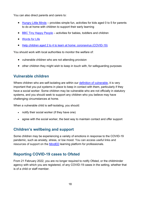You can also direct parents and carers to:

- [Hungry Little Minds](https://hungrylittleminds.campaign.gov.uk/) provides simple fun, activities for kids aged 0 to 5 for parents to do at home with children to support their early learning
- [BBC Tiny Happy People](https://www.bbc.co.uk/tiny-happy-people) activities for babies, toddlers and children
- [Words for Life](https://wordsforlife.org.uk/)
- [Help children aged 2 to 4 to learn at home: coronavirus \(COVID-19\)](https://www.gov.uk/guidance/help-children-aged-2-to-4-to-learn-at-home-during-coronavirus-covid-19)

You should work with local authorities to monitor the welfare of:

- vulnerable children who are not attending provision
- other children they might wish to keep in touch with, for safeguarding purposes

## <span id="page-17-0"></span>**Vulnerable children**

Where children who are self-isolating are within our [definition of vulnerable,](https://www.gov.uk/government/publications/coronavirus-covid-19-maintaining-educational-provision/guidance-for-schools-colleges-and-local-authorities-on-maintaining-educational-provision#vulnerable-children-and-young-people) it is very important that you put systems in place to keep in contact with them, particularly if they have a social worker. Some children may be vulnerable who are not officially in statutory systems, and you should seek to support any children who you believe may have challenging circumstances at home.

When a vulnerable child is self-isolating, you should:

- notify their social worker (if they have one)
- agree with the social worker, the best way to maintain contact and offer support

## <span id="page-17-1"></span>**Children's wellbeing and support**

Some children may be experiencing a variety of emotions in response to the COVID-19 pandemic, such as anxiety, stress, or low mood. You can access useful links and resources of support on the [MindED](https://www.minded.org.uk/) learning platform for professionals.

## <span id="page-17-2"></span>**Reporting COVID-19 cases to Ofsted**

From 21 February 2022, you are no longer required to notify Ofsted, or the childminder agency with which you are registered, of any COVID-19 cases in the setting, whether that is of a child or staff member.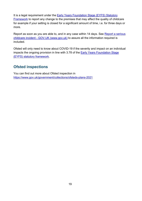It is a legal requirement under the [Early Years Foundation Stage \(EYFS\) Statutory](https://assets.publishing.service.gov.uk/government/uploads/system/uploads/attachment_data/file/974907/EYFS_framework_-_March_2021.pdf)  [Framework](https://assets.publishing.service.gov.uk/government/uploads/system/uploads/attachment_data/file/974907/EYFS_framework_-_March_2021.pdf) to report any change to the premises that may affect the quality of childcare for example if your setting is closed for a significant amount of time, i.e. for three days or more.

Report as soon as you are able to, and in any case within 14 days. See [Report a serious](https://www.gov.uk/guidance/report-a-serious-childcare-incident)  childcare incident - [GOV.UK \(www.gov.uk\)](https://www.gov.uk/guidance/report-a-serious-childcare-incident) to assure all the information required is included.

Ofsted will only need to know about COVID-19 if the severity and impact on an individual impacts the ongoing provision in line with 3.78 of the [Early Years Foundation Stage](https://www.gov.uk/government/publications/early-years-foundation-stage-framework--2)  [\(EYFS\) statutory framework.](https://www.gov.uk/government/publications/early-years-foundation-stage-framework--2)

## <span id="page-18-0"></span>**Ofsted inspections**

You can find out more about Ofsted inspection in <https://www.gov.uk/government/collections/ofsteds-plans-2021>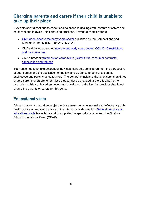# <span id="page-19-0"></span>**Charging parents and carers if their child is unable to take up their place**

Providers should continue to be fair and balanced in dealings with parents or carers and must continue to avoid unfair charging practices. Providers should refer to:

- CMA [open letter to the early years sector](https://www.gov.uk/government/publications/cma-open-letter-to-the-early-years-sector) published by the Competitions and Markets Authority (CMA) on 28 July 2020
- CMA's detailed advice on nursery and early years sector: COVID-19 restrictions [and consumer law](https://www.gov.uk/government/publications/nursery-and-early-years-sector-covid-19-restrictions-and-consumer-law)
- CMA's broader statement on coronavirus (COVID-19), consumer contracts, [cancellation and refunds](https://www.gov.uk/government/publications/cma-to-investigate-concerns-about-cancellation-policies-during-the-coronavirus-covid-19-pandemic/the-coronavirus-covid-19-pandemic-consumer-contracts-cancellation-and-refunds)

Each case needs to take account of individual contracts considered from the perspective of both parties and the application of the law and guidance to both providers as businesses and parents as consumers. The general principle is that providers should not charge parents or carers for services that cannot be provided. If there is a barrier to accessing childcare, based on government guidance or the law, the provider should not charge the parents or carers for this period.

## <span id="page-19-1"></span>**Educational visits**

Educational visits should be subject to risk assessments as normal and reflect any public health advice or in-country advice of the international destination. [General guidance on](https://www.gov.uk/government/publications/health-and-safety-on-educational-visits/health-and-safety-on-educational-visits) [educational visits](https://www.gov.uk/government/publications/health-and-safety-on-educational-visits/health-and-safety-on-educational-visits) is available and is supported by specialist advice from the Outdoor Education Advisory Panel (OEAP).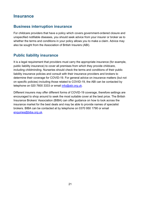## <span id="page-20-0"></span>**Insurance**

#### <span id="page-20-1"></span>**Business interruption insurance**

For childcare providers that have a policy which covers government-ordered closure and unspecified notifiable diseases, you should seek advice from your insurer or broker as to whether the terms and conditions in your policy allows you to make a claim. Advice may also be sought from the Association of British Insurers (ABI).

## <span id="page-20-2"></span>**Public liability insurance**

It is a legal requirement that providers must carry the appropriate insurance (for example, public liability insurance) to cover all premises from which they provide childcare, including childminding. Nurseries should check the terms and conditions of their public liability insurance policies and consult with their insurance providers and brokers to determine their coverage for COVID-19. For general advice on insurance matters (but not on specific policies) including those related to COVID-19, the ABI can be contacted by telephone on 020 7600 3333 or email [info@abi.org.uk.](mailto:info@abi.org.uk)

Different insurers may offer different forms of COVID-19 coverage, therefore settings are encouraged to shop around to seek the most suitable cover at the best price. The British Insurance Brokers' Association (BIBA) can offer guidance on how to look across the insurance market for the best deals and may be able to provide names of specialist brokers. BIBA can be contacted at by telephone on 0370 950 1790 or email [enquiries@biba.org.uk.](mailto:enquiries@biba.org.uk)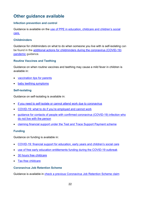# <span id="page-21-0"></span>**Other guidance available**

#### **Infection prevention and control**

Guidance is available on the use of PPE in education, childcare and children's social [care.](https://www.gov.uk/government/publications/safe-working-in-education-childcare-and-childrens-social-care)

#### **Childminders**

Guidance for childminders on what to do when someone you live with is self-isolating can be found in the [additional actions for childminders during the coronavirus \(COVID-19\)](https://www.gov.uk/government/publications/additional-actions-for-childminders-during-the-coronavirus-covid-19-pandemic)  [pandemic](https://www.gov.uk/government/publications/additional-actions-for-childminders-during-the-coronavirus-covid-19-pandemic) quidance.

#### **Routine Vaccines and Teething**

Guidance on when routine vaccines and teething may cause a mild fever in children is available in:

- [vaccination tips for parents](https://eur01.safelinks.protection.outlook.com/?url=https%3A%2F%2Fwww.nhs.uk%2Fconditions%2Fvaccinations%2Fvaccination-appointment-tips-for-parents%2F&data=04%7C01%7CShaun.Gallagher%40phe.gov.uk%7C351708c4a96c45f956fb08d9618fdd5d%7Cee4e14994a354b2ead475f3cf9de8666%7C0%7C0%7C637648092778486389%7CUnknown%7CTWFpbGZsb3d8eyJWIjoiMC4wLjAwMDAiLCJQIjoiV2luMzIiLCJBTiI6Ik1haWwiLCJXVCI6Mn0%3D%7C1000&sdata=ocemeGCeF3kPsDv631k0YgtJyOaSzlwjvKgsV7qM8vk%3D&reserved=0)
- **[baby teething symptoms](https://www.nhs.uk/conditions/baby/babys-development/teething/baby-teething-symptoms/)**

#### **Self-isolating**

Guidance on self-isolating is available in:

- [if you need to self-isolate or cannot attend work due to coronavirus](https://www.gov.uk/guidance/if-you-need-to-self-isolate-or-cannot-attend-work-due-to-coronavirus)
- [COVID-19: what to do if you're employed and cannot work](https://www.gov.uk/guidance/coronavirus-covid-19-what-to-do-if-youre-employed-and-cannot-work)
- [guidance for contacts of people with confirmed coronavirus \(COVID-19\) infection who](https://www.gov.uk/government/publications/guidance-for-contacts-of-people-with-possible-or-confirmed-coronavirus-covid-19-infection-who-do-not-live-with-the-person)  [do not live with the person](https://www.gov.uk/government/publications/guidance-for-contacts-of-people-with-possible-or-confirmed-coronavirus-covid-19-infection-who-do-not-live-with-the-person)
- [claiming financial support under the Test and Trace Support Payment scheme](https://www.gov.uk/government/publications/test-and-trace-support-payment-scheme-claiming-financial-support/claiming-financial-support-under-the-test-and-trace-support-payment-scheme)

#### **Funding**

Guidance on funding is available in:

- [COVID-19: financial support for education, early years and children's social care](https://www.gov.uk/government/publications/coronavirus-covid-19-financial-support-for-education-early-years-and-childrens-social-care)
- [use of free early education entitlements funding during the COVID-19 outbreak](https://www.gov.uk/government/publications/use-of-free-early-education-entitlements-funding-during-the-coronavirus-outbreak)
- [30 hours free childcare](https://www.gov.uk/30-hours-free-childcare)
- [Tax-free childcare](https://www.gov.uk/tax-free-childcare)

#### **Coronavirus Job Retention Scheme**

Guidance is available in [check a previous Coronavirus Job Retention Scheme claim](https://www.gov.uk/guidance/check-a-previous-coronavirus-job-retention-scheme-claim)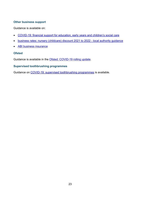#### **Other business support**

Guidance is available on:

- [COVID-19: financial support for education, early years and children's social care](https://www.gov.uk/government/publications/coronavirus-covid-19-financial-support-for-education-early-years-and-childrens-social-care)
- [business rates: nursery \(childcare\) discount 2021 to 2022 -](https://www.gov.uk/government/publications/business-rates-nursery-childcare-discount-2021-to-2022-local-authority-guidance) local authority guidance
- **ABI [business insurance](https://www.abi.org.uk/products-and-issues/topics-and-issues/coronavirus-hub/business-insurance/)**

#### **Ofsted**

Guidance is available in the [Ofsted: COVID-19 rolling update.](https://www.gov.uk/guidance/ofsted-coronavirus-covid-19-rolling-update)

#### **Supervised toothbrushing programmes**

Guidance on [COVID-19: supervised toothbrushing programmes](https://www.gov.uk/government/publications/covid-19-supervised-toothbrushing-programmes) is available.